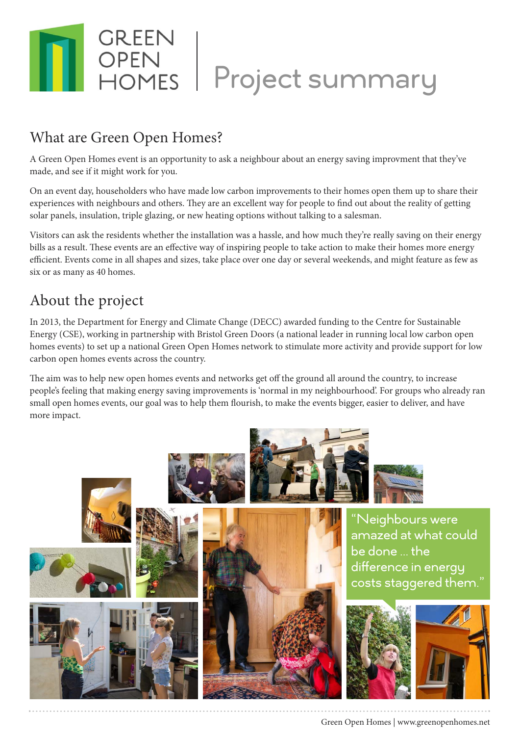

## What are Green Open Homes?

A Green Open Homes event is an opportunity to ask a neighbour about an energy saving improvment that they've made, and see if it might work for you.

On an event day, householders who have made low carbon improvements to their homes open them up to share their experiences with neighbours and others. They are an excellent way for people to find out about the reality of getting solar panels, insulation, triple glazing, or new heating options without talking to a salesman.

Visitors can ask the residents whether the installation was a hassle, and how much they're really saving on their energy bills as a result. These events are an effective way of inspiring people to take action to make their homes more energy efficient. Events come in all shapes and sizes, take place over one day or several weekends, and might feature as few as six or as many as 40 homes.

## About the project

In 2013, the Department for Energy and Climate Change (DECC) awarded funding to the Centre for Sustainable Energy (CSE), working in partnership with Bristol Green Doors (a national leader in running local low carbon open homes events) to set up a national Green Open Homes network to stimulate more activity and provide support for low carbon open homes events across the country.

The aim was to help new open homes events and networks get off the ground all around the country, to increase people's feeling that making energy saving improvements is 'normal in my neighbourhood'. For groups who already ran small open homes events, our goal was to help them flourish, to make the events bigger, easier to deliver, and have more impact.

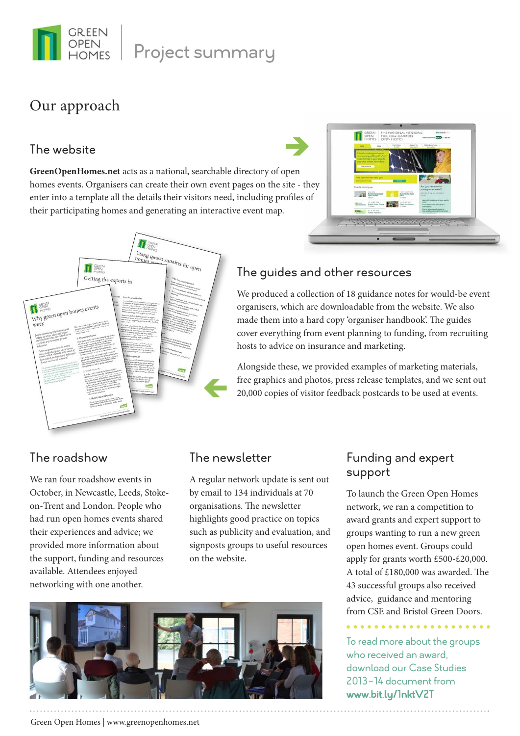

Project summary

## Our approach

#### The website

**GreenOpenHomes.net** acts as a national, searchable directory of open homes events. Organisers can create their own event pages on the site - they enter into a template all the details their visitors need, including profiles of their participating homes and generating an interactive event map.





### The guides and other resources

è

We produced a collection of 18 guidance notes for would-be event organisers, which are downloadable from the website. We also made them into a hard copy 'organiser handbook'. The guides cover everything from event planning to funding, from recruiting hosts to advice on insurance and marketing.

Alongside these, we provided examples of marketing materials, free graphics and photos, press release templates, and we sent out 20,000 copies of visitor feedback postcards to be used at events.

### The roadshow

We ran four roadshow events in October, in Newcastle, Leeds, Stokeon-Trent and London. People who had run open homes events shared their experiences and advice; we provided more information about the support, funding and resources available. Attendees enjoyed networking with one another.

#### The newsletter

A regular network update is sent out by email to 134 individuals at 70 organisations. The newsletter highlights good practice on topics such as publicity and evaluation, and signposts groups to useful resources on the website.



### Funding and expert support

To launch the Green Open Homes network, we ran a competition to award grants and expert support to groups wanting to run a new green open homes event. Groups could apply for grants worth £500-£20,000. A total of £180,000 was awarded. The 43 successful groups also received advice, guidance and mentoring from CSE and Bristol Green Doors.

## To read more about the groups

who received an award, download our Case Studies 2013-14 document from www.bit.ly/1nktV2T

#### Green Open Homes | www.greenopenhomes.net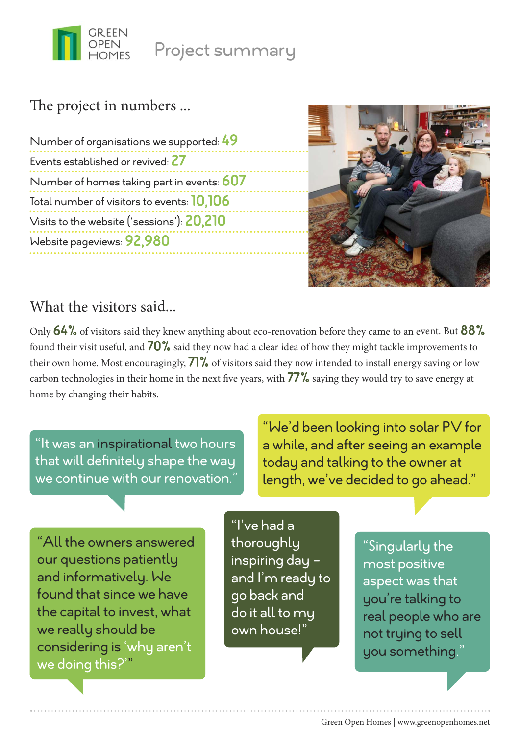

## The project in numbers ...

Number of organisations we supported: 49 Events established or revived: 27 Number of homes taking part in events: 607 Total number of visitors to events: 10,106 Visits to the website ('sessions'): 20,210 Website pageviews: 92,980



### What the visitors said...

Only 64% of visitors said they knew anything about eco-renovation before they came to an event. But 88% found their visit useful, and  $70\%$  said they now had a clear idea of how they might tackle improvements to their own home. Most encouragingly,  $71\%$  of visitors said they now intended to install energy saving or low carbon technologies in their home in the next five years, with 77% saying they would try to save energy at home by changing their habits.

"It was an inspirational two hours that will definitely shape the way we continue with our renovation.

"We'd been looking into solar PV for a while, and after seeing an example today and talking to the owner at length, we've decided to go ahead."

"All the owners answered our questions patiently and informatively. We found that since we have the capital to invest, what we really should be considering is 'why aren't we doing this?'"

"I've had a thoroughly inspiring day and I'm ready to go back and do it all to my own house!"

"Singularly the most positive aspect was that you're talking to real people who are not trying to sell you something."